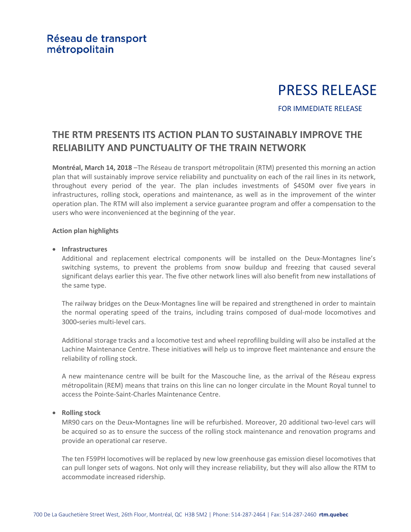# PRESS RELEASE

# FOR IMMEDIATE RELEASE

# **THE RTM PRESENTS ITS ACTION PLAN TO SUSTAINABLY IMPROVE THE RELIABILITY AND PUNCTUALITY OF THE TRAIN NETWORK**

**Montréal, March 14, 2018** –The Réseau de transport métropolitain (RTM) presented this morning an action plan that will sustainably improve service reliability and punctuality on each of the rail lines in its network, throughout every period of the year. The plan includes investments of \$450M over five years in infrastructures, rolling stock, operations and maintenance, as well as in the improvement of the winter operation plan. The RTM will also implement a service guarantee program and offer a compensation to the users who were inconvenienced at the beginning of the year.

# **Action plan highlights**

# • **Infrastructures**

Additional and replacement electrical components will be installed on the Deux-Montagnes line's switching systems, to prevent the problems from snow buildup and freezing that caused several significant delays earlier this year. The five other network lines will also benefit from new installations of the same type.

The railway bridges on the Deux-Montagnes line will be repaired and strengthened in order to maintain the normal operating speed of the trains, including trains composed of dual-mode locomotives and 3000-series multi-level cars.

Additional storage tracks and a locomotive test and wheel reprofiling building will also be installed at the Lachine Maintenance Centre. These initiatives will help us to improve fleet maintenance and ensure the reliability of rolling stock.

A new maintenance centre will be built for the Mascouche line, as the arrival of the Réseau express métropolitain (REM) means that trains on this line can no longer circulate in the Mount Royal tunnel to access the Pointe-Saint-Charles Maintenance Centre.

# • **Rolling stock**

MR90 cars on the Deux-Montagnes line will be refurbished. Moreover, 20 additional two-level cars will be acquired so as to ensure the success of the rolling stock maintenance and renovation programs and provide an operational car reserve.

The ten F59PH locomotives will be replaced by new low greenhouse gas emission diesel locomotives that can pull longer sets of wagons. Not only will they increase reliability, but they will also allow the RTM to accommodate increased ridership.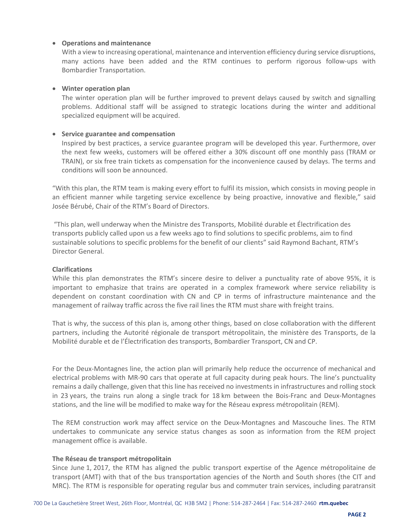# • **Operations and maintenance**

With a view to increasing operational, maintenance and intervention efficiency during service disruptions, many actions have been added and the RTM continues to perform rigorous follow-ups with Bombardier Transportation.

### • **Winter operation plan**

The winter operation plan will be further improved to prevent delays caused by switch and signalling problems. Additional staff will be assigned to strategic locations during the winter and additional specialized equipment will be acquired.

# • **Service guarantee and compensation**

Inspired by best practices, a service guarantee program will be developed this year. Furthermore, over the next few weeks, customers will be offered either a 30% discount off one monthly pass (TRAM or TRAIN), or six free train tickets as compensation for the inconvenience caused by delays. The terms and conditions will soon be announced.

"With this plan, the RTM team is making every effort to fulfil its mission, which consists in moving people in an efficient manner while targeting service excellence by being proactive, innovative and flexible," said Josée Bérubé, Chair of the RTM's Board of Directors.

"This plan, well underway when the Ministre des Transports, Mobilité durable et Électrification des transports publicly called upon us a few weeks ago to find solutions to specific problems, aim to find sustainable solutions to specific problems for the benefit of our clients" said Raymond Bachant, RTM's Director General.

### **Clarifications**

While this plan demonstrates the RTM's sincere desire to deliver a punctuality rate of above 95%, it is important to emphasize that trains are operated in a complex framework where service reliability is dependent on constant coordination with CN and CP in terms of infrastructure maintenance and the management of railway traffic across the five rail lines the RTM must share with freight trains.

That is why, the success of this plan is, among other things, based on close collaboration with the different partners, including the Autorité régionale de transport métropolitain, the ministère des Transports, de la Mobilité durable et de l'Électrification des transports, Bombardier Transport, CN and CP.

For the Deux-Montagnes line, the action plan will primarily help reduce the occurrence of mechanical and electrical problems with MR-90 cars that operate at full capacity during peak hours. The line's punctuality remains a daily challenge, given that this line has received no investments in infrastructures and rolling stock in 23 years, the trains run along a single track for 18 km between the Bois-Franc and Deux-Montagnes stations, and the line will be modified to make way for the Réseau express métropolitain (REM).

The REM construction work may affect service on the Deux-Montagnes and Mascouche lines. The RTM undertakes to communicate any service status changes as soon as information from the REM project management office is available.

#### **The Réseau de transport métropolitain**

Since June 1, 2017, the RTM has aligned the public transport expertise of the Agence métropolitaine de transport (AMT) with that of the bus transportation agencies of the North and South shores (the CIT and MRC). The RTM is responsible for operating regular bus and commuter train services, including paratransit